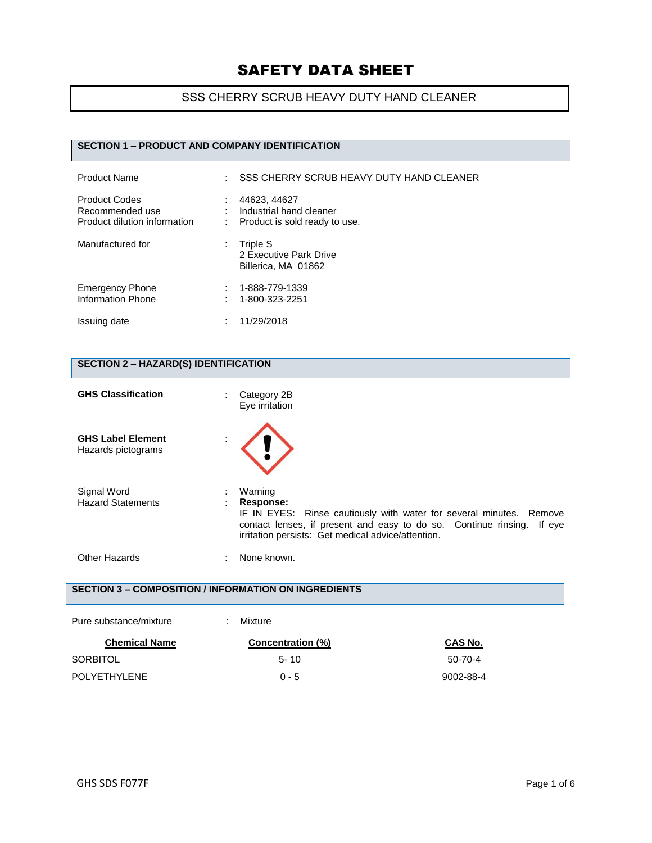## SSS CHERRY SCRUB HEAVY DUTY HAND CLEANER

#### **SECTION 1 – PRODUCT AND COMPANY IDENTIFICATION**

| <b>Product Name</b>                                                     | SSS CHERRY SCRUB HEAVY DUTY HAND CLEANER<br>t.                           |
|-------------------------------------------------------------------------|--------------------------------------------------------------------------|
| <b>Product Codes</b><br>Recommended use<br>Product dilution information | 44623, 44627<br>Industrial hand cleaner<br>Product is sold ready to use. |
| Manufactured for                                                        | Triple S<br>2 Executive Park Drive<br>Billerica, MA 01862                |
| <b>Emergency Phone</b><br>Information Phone                             | 1-888-779-1339<br>1-800-323-2251                                         |
| Issuing date                                                            | 11/29/2018                                                               |

#### **SECTION 2 – HAZARD(S) IDENTIFICATION**

| <b>GHS Classification</b>                      | Category 2B<br>Eye irritation                                                                                                                                                                                               |
|------------------------------------------------|-----------------------------------------------------------------------------------------------------------------------------------------------------------------------------------------------------------------------------|
| <b>GHS Label Element</b><br>Hazards pictograms |                                                                                                                                                                                                                             |
| Signal Word<br><b>Hazard Statements</b>        | Warning<br>Response:<br>IF IN EYES: Rinse cautiously with water for several minutes. Remove<br>contact lenses, if present and easy to do so. Continue rinsing. If eye<br>irritation persists: Get medical advice/attention. |
| <b>Other Hazards</b>                           | None known.<br>÷                                                                                                                                                                                                            |
|                                                | <b>SECTION 3 - COMPOSITION / INFORMATION ON INGREDIENTS</b>                                                                                                                                                                 |

| Pure substance/mixture | Mixture                  |                |
|------------------------|--------------------------|----------------|
| <b>Chemical Name</b>   | <b>Concentration (%)</b> | <b>CAS No.</b> |
| SORBITOL               | $5 - 10$                 | $50 - 70 - 4$  |
| POLYETHYLENE           | $0 - 5$                  | 9002-88-4      |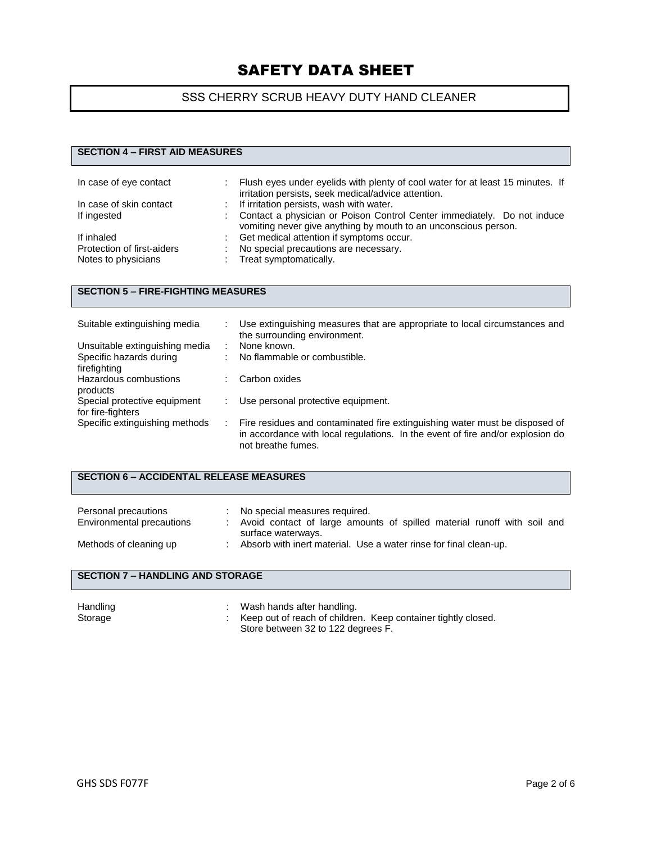## SSS CHERRY SCRUB HEAVY DUTY HAND CLEANER

#### **SECTION 4 – FIRST AID MEASURES**

| In case of eye contact     |    | Flush eyes under eyelids with plenty of cool water for at least 15 minutes. If<br>irritation persists, seek medical/advice attention.      |
|----------------------------|----|--------------------------------------------------------------------------------------------------------------------------------------------|
| In case of skin contact    | t. | If irritation persists, wash with water.                                                                                                   |
| If ingested                |    | Contact a physician or Poison Control Center immediately. Do not induce<br>vomiting never give anything by mouth to an unconscious person. |
| If inhaled                 |    | Get medical attention if symptoms occur.                                                                                                   |
| Protection of first-aiders |    | No special precautions are necessary.                                                                                                      |
| Notes to physicians        |    | : Treat symptomatically.                                                                                                                   |

#### **SECTION 5 – FIRE-FIGHTING MEASURES**

| Suitable extinguishing media   | Use extinguishing measures that are appropriate to local circumstances and<br>the surrounding environment.                                                                          |
|--------------------------------|-------------------------------------------------------------------------------------------------------------------------------------------------------------------------------------|
| Unsuitable extinguishing media | None known.                                                                                                                                                                         |
| Specific hazards during        | No flammable or combustible.                                                                                                                                                        |
| firefighting                   |                                                                                                                                                                                     |
| Hazardous combustions          | Carbon oxides                                                                                                                                                                       |
| products                       |                                                                                                                                                                                     |
| Special protective equipment   | Use personal protective equipment.                                                                                                                                                  |
| for fire-fighters              |                                                                                                                                                                                     |
| Specific extinguishing methods | Fire residues and contaminated fire extinguishing water must be disposed of<br>in accordance with local regulations. In the event of fire and/or explosion do<br>not breathe fumes. |

## **SECTION 6 – ACCIDENTAL RELEASE MEASURES**

| Personal precautions<br>Environmental precautions | No special measures required.<br>Avoid contact of large amounts of spilled material runoff with soil and |
|---------------------------------------------------|----------------------------------------------------------------------------------------------------------|
| Methods of cleaning up                            | surface waterways.<br>Absorb with inert material. Use a water rinse for final clean-up.                  |

#### **SECTION 7 – HANDLING AND STORAGE**

| Handling | Wash hands after handling.                                      |
|----------|-----------------------------------------------------------------|
| Storage  | : Keep out of reach of children. Keep container tightly closed. |
|          | Store between 32 to 122 degrees F.                              |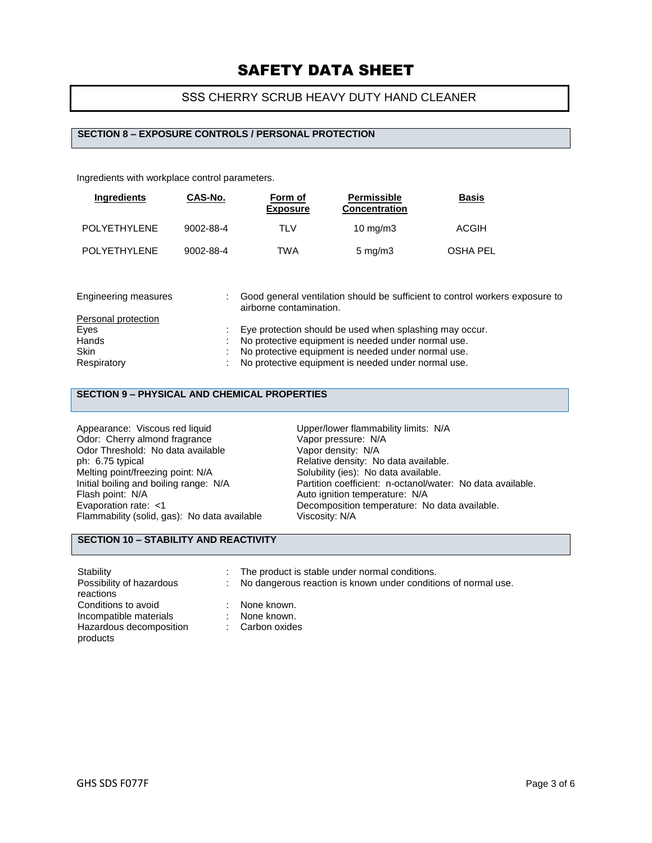## SSS CHERRY SCRUB HEAVY DUTY HAND CLEANER

#### **SECTION 8 – EXPOSURE CONTROLS / PERSONAL PROTECTION**

Ingredients with workplace control parameters.

| <b>Ingredients</b>  | CAS-No.   | Form of<br><b>Exposure</b> | Permissible<br><b>Concentration</b> | <b>Basis</b> |
|---------------------|-----------|----------------------------|-------------------------------------|--------------|
| <b>POLYETHYLENE</b> | 9002-88-4 | TLV                        | $10 \text{ mg/m}$                   | <b>ACGIH</b> |
| <b>POLYETHYLENE</b> | 9002-88-4 | TWA                        | $5 \text{ mg/m}$                    | OSHA PEL     |

| Engineering measures | Good general ventilation should be sufficient to control workers exposure to<br>airborne contamination. |
|----------------------|---------------------------------------------------------------------------------------------------------|
| Personal protection  |                                                                                                         |
| Eyes                 | Eye protection should be used when splashing may occur.                                                 |
| Hands                | No protective equipment is needed under normal use.                                                     |
| <b>Skin</b>          | No protective equipment is needed under normal use.                                                     |
| Respiratory          | No protective equipment is needed under normal use.                                                     |

#### **SECTION 9 – PHYSICAL AND CHEMICAL PROPERTIES**

Appearance: Viscous red liquid<br>
Odor: Cherry almond fragrance<br>
Vapor pressure: N/A Odor: Cherry almond fragrance Vapor pressure: N/A<br>
Odor Threshold: No data available Vapor density: N/A Odor Threshold: No data available<br>ph: 6.75 typical ph: 6.75 typical **Phitter and Audit Avior Additive density:** No data available.<br>
Melting point/freezing point: N/A Solubility (ies): No data available. Melting point/freezing point: N/A Solubility (ies): No data available.<br>
Initial boiling and boiling range: N/A Partition coefficient: n-octanol/wat Flash point: N/A<br>
Evaporation rate: <1 Channel Autority Decomposition temperature: N/A Flammability (solid, gas): No data available

Initial boiling and boiling range: N/A Partition coefficient: n-octanol/water: No data available.<br>Flash point: N/A Auto ignition temperature: N/A Decomposition temperature: No data available.<br>Viscosity: N/A

## **SECTION 10 – STABILITY AND REACTIVITY**

products

Stability **Stability** : The product is stable under normal conditions.

: No dangerous reaction is known under conditions of normal use.

**reactions** Conditions to avoid<br>
Incompatible materials
incompatible materials
incompatible materials
incompatible materials
incompatible materials
incompatible materials
incompatible materials

Conditions

Conditions
the materials

C Incompatible materials :  $\blacksquare$ Hazardous decomposition

Possibility of hazardous

- 
- : Carbon oxides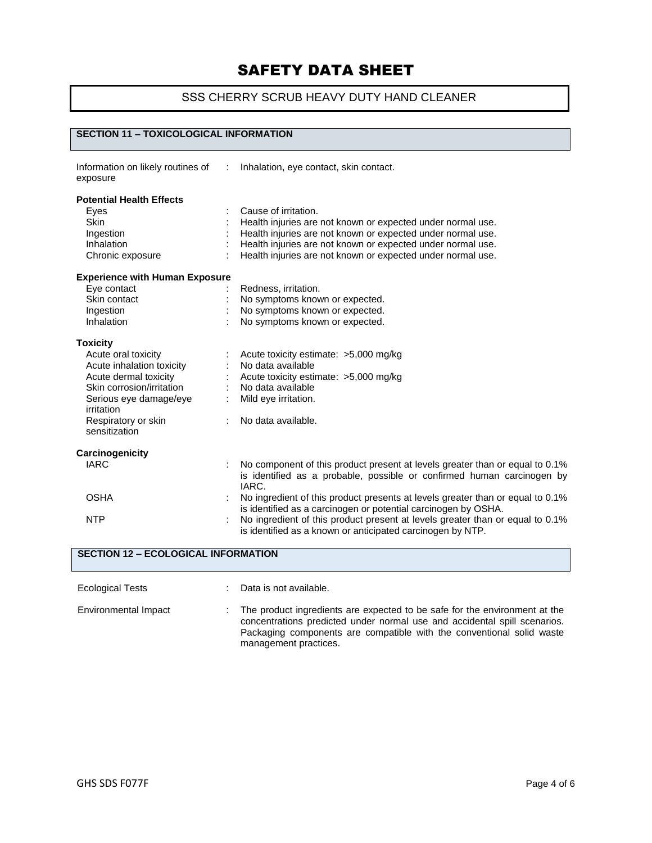## SSS CHERRY SCRUB HEAVY DUTY HAND CLEANER

#### **SECTION 11 – TOXICOLOGICAL INFORMATION**

| Information on likely routines of<br>exposure | Inhalation, eye contact, skin contact.                                                                                                                          |
|-----------------------------------------------|-----------------------------------------------------------------------------------------------------------------------------------------------------------------|
| <b>Potential Health Effects</b>               |                                                                                                                                                                 |
| Eyes                                          | Cause of irritation.                                                                                                                                            |
| <b>Skin</b>                                   | Health injuries are not known or expected under normal use.                                                                                                     |
| Ingestion                                     | Health injuries are not known or expected under normal use.                                                                                                     |
| Inhalation                                    | Health injuries are not known or expected under normal use.                                                                                                     |
| Chronic exposure                              | Health injuries are not known or expected under normal use.                                                                                                     |
| <b>Experience with Human Exposure</b>         |                                                                                                                                                                 |
| Eye contact                                   | Redness, irritation.                                                                                                                                            |
| Skin contact                                  | No symptoms known or expected.                                                                                                                                  |
| Ingestion                                     | No symptoms known or expected.                                                                                                                                  |
| Inhalation                                    | No symptoms known or expected.                                                                                                                                  |
| <b>Toxicity</b>                               |                                                                                                                                                                 |
| Acute oral toxicity                           | Acute toxicity estimate: >5,000 mg/kg                                                                                                                           |
| Acute inhalation toxicity                     | No data available                                                                                                                                               |
| Acute dermal toxicity                         | Acute toxicity estimate: >5,000 mg/kg                                                                                                                           |
| Skin corrosion/irritation                     | No data available                                                                                                                                               |
| Serious eye damage/eye<br>irritation          | Mild eye irritation.                                                                                                                                            |
| Respiratory or skin<br>sensitization          | No data available.                                                                                                                                              |
| Carcinogenicity                               |                                                                                                                                                                 |
| <b>IARC</b>                                   | No component of this product present at levels greater than or equal to 0.1%<br>is identified as a probable, possible or confirmed human carcinogen by<br>IARC. |
| <b>OSHA</b>                                   | No ingredient of this product presents at levels greater than or equal to 0.1%<br>is identified as a carcinogen or potential carcinogen by OSHA.                |
| <b>NTP</b>                                    | No ingredient of this product present at levels greater than or equal to 0.1%<br>is identified as a known or anticipated carcinogen by NTP.                     |

| <b>SECTION 12 - ECOLOGICAL INFORMATION</b> |   |                                                                                                                                                                                                                                                           |
|--------------------------------------------|---|-----------------------------------------------------------------------------------------------------------------------------------------------------------------------------------------------------------------------------------------------------------|
| <b>Ecological Tests</b>                    |   | Data is not available.                                                                                                                                                                                                                                    |
| Environmental Impact                       | ÷ | The product ingredients are expected to be safe for the environment at the<br>concentrations predicted under normal use and accidental spill scenarios.<br>Packaging components are compatible with the conventional solid waste<br>management practices. |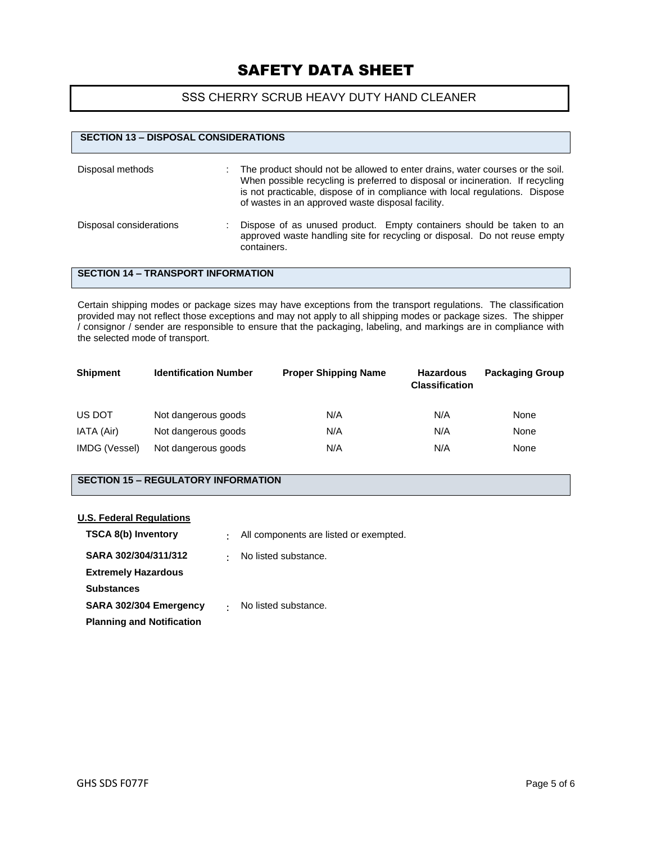#### SSS CHERRY SCRUB HEAVY DUTY HAND CLEANER

| <b>SECTION 13 - DISPOSAL CONSIDERATIONS</b> |                                                                                                                                                                                                                                                                                                      |
|---------------------------------------------|------------------------------------------------------------------------------------------------------------------------------------------------------------------------------------------------------------------------------------------------------------------------------------------------------|
| Disposal methods                            | The product should not be allowed to enter drains, water courses or the soil.<br>When possible recycling is preferred to disposal or incineration. If recycling<br>is not practicable, dispose of in compliance with local regulations. Dispose<br>of wastes in an approved waste disposal facility. |
| Disposal considerations                     | Dispose of as unused product. Empty containers should be taken to an<br>approved waste handling site for recycling or disposal. Do not reuse empty<br>containers.                                                                                                                                    |

#### **SECTION 14 – TRANSPORT INFORMATION**

Certain shipping modes or package sizes may have exceptions from the transport regulations. The classification provided may not reflect those exceptions and may not apply to all shipping modes or package sizes. The shipper / consignor / sender are responsible to ensure that the packaging, labeling, and markings are in compliance with the selected mode of transport.

| <b>Shipment</b> | <b>Identification Number</b> | <b>Proper Shipping Name</b> | <b>Hazardous</b><br><b>Classification</b> | <b>Packaging Group</b> |
|-----------------|------------------------------|-----------------------------|-------------------------------------------|------------------------|
| US DOT          | Not dangerous goods          | N/A                         | N/A                                       | None                   |
| IATA (Air)      | Not dangerous goods          | N/A                         | N/A                                       | None                   |
| IMDG (Vessel)   | Not dangerous goods          | N/A                         | N/A                                       | None                   |

## **SECTION 15 – REGULATORY INFORMATION**

#### **U.S. Federal Regulations**

| <b>TSCA 8(b) Inventory</b>       | $\bullet$ | All components are listed or exempted. |
|----------------------------------|-----------|----------------------------------------|
| SARA 302/304/311/312             | $\bullet$ | No listed substance.                   |
| <b>Extremely Hazardous</b>       |           |                                        |
| <b>Substances</b>                |           |                                        |
| SARA 302/304 Emergency           |           | No listed substance.                   |
| <b>Planning and Notification</b> |           |                                        |